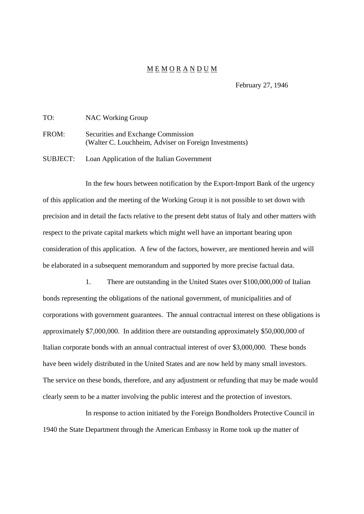## M E M O R A N D U M

February 27, 1946

| TO:      | <b>NAC Working Group</b>                                                                    |
|----------|---------------------------------------------------------------------------------------------|
| FROM:    | Securities and Exchange Commission<br>(Walter C. Louchheim, Adviser on Foreign Investments) |
| SUBJECT: | Loan Application of the Italian Government                                                  |

In the few hours between notification by the Export-Import Bank of the urgency of this application and the meeting of the Working Group it is not possible to set down with precision and in detail the facts relative to the present debt status of Italy and other matters with respect to the private capital markets which might well have an important bearing upon consideration of this application. A few of the factors, however, are mentioned herein and will be elaborated in a subsequent memorandum and supported by more precise factual data.

1. There are outstanding in the United States over \$100,000,000 of Italian bonds representing the obligations of the national government, of municipalities and of corporations with government guarantees. The annual contractual interest on these obligations is approximately \$7,000,000. In addition there are outstanding approximately \$50,000,000 of Italian corporate bonds with an annual contractual interest of over \$3,000,000. These bonds have been widely distributed in the United States and are now held by many small investors. The service on these bonds, therefore, and any adjustment or refunding that may be made would clearly seem to be a matter involving the public interest and the protection of investors.

In response to action initiated by the Foreign Bondholders Protective Council in 1940 the State Department through the American Embassy in Rome took up the matter of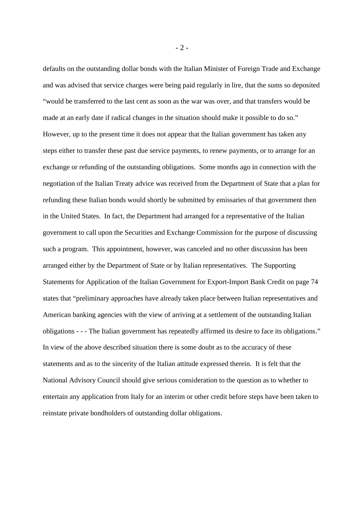defaults on the outstanding dollar bonds with the Italian Minister of Foreign Trade and Exchange and was advised that service charges were being paid regularly in lire, that the sums so deposited "would be transferred to the last cent as soon as the war was over, and that transfers would be made at an early date if radical changes in the situation should make it possible to do so." However, up to the present time it does not appear that the Italian government has taken any steps either to transfer these past due service payments, to renew payments, or to arrange for an exchange or refunding of the outstanding obligations. Some months ago in connection with the negotiation of the Italian Treaty advice was received from the Department of State that a plan for refunding these Italian bonds would shortly be submitted by emissaries of that government then in the United States. In fact, the Department had arranged for a representative of the Italian government to call upon the Securities and Exchange Commission for the purpose of discussing such a program. This appointment, however, was canceled and no other discussion has been arranged either by the Department of State or by Italian representatives. The Supporting Statements for Application of the Italian Government for Export-Import Bank Credit on page 74 states that "preliminary approaches have already taken place between Italian representatives and American banking agencies with the view of arriving at a settlement of the outstanding Italian obligations - - - The Italian government has repeatedly affirmed its desire to face its obligations." In view of the above described situation there is some doubt as to the accuracy of these statements and as to the sincerity of the Italian attitude expressed therein. It is felt that the National Advisory Council should give serious consideration to the question as to whether to entertain any application from Italy for an interim or other credit before steps have been taken to reinstate private bondholders of outstanding dollar obligations.

- 2 -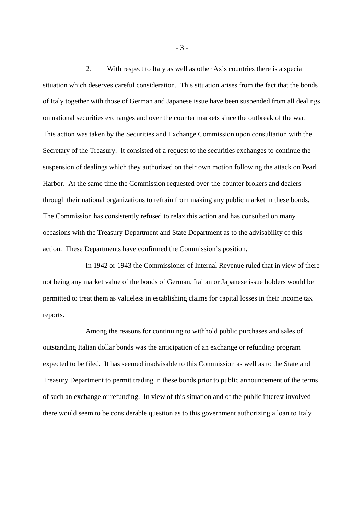2. With respect to Italy as well as other Axis countries there is a special situation which deserves careful consideration. This situation arises from the fact that the bonds of Italy together with those of German and Japanese issue have been suspended from all dealings on national securities exchanges and over the counter markets since the outbreak of the war. This action was taken by the Securities and Exchange Commission upon consultation with the Secretary of the Treasury. It consisted of a request to the securities exchanges to continue the suspension of dealings which they authorized on their own motion following the attack on Pearl Harbor. At the same time the Commission requested over-the-counter brokers and dealers through their national organizations to refrain from making any public market in these bonds. The Commission has consistently refused to relax this action and has consulted on many occasions with the Treasury Department and State Department as to the advisability of this action. These Departments have confirmed the Commission's position.

In 1942 or 1943 the Commissioner of Internal Revenue ruled that in view of there not being any market value of the bonds of German, Italian or Japanese issue holders would be permitted to treat them as valueless in establishing claims for capital losses in their income tax reports.

Among the reasons for continuing to withhold public purchases and sales of outstanding Italian dollar bonds was the anticipation of an exchange or refunding program expected to be filed. It has seemed inadvisable to this Commission as well as to the State and Treasury Department to permit trading in these bonds prior to public announcement of the terms of such an exchange or refunding. In view of this situation and of the public interest involved there would seem to be considerable question as to this government authorizing a loan to Italy

- 3 -